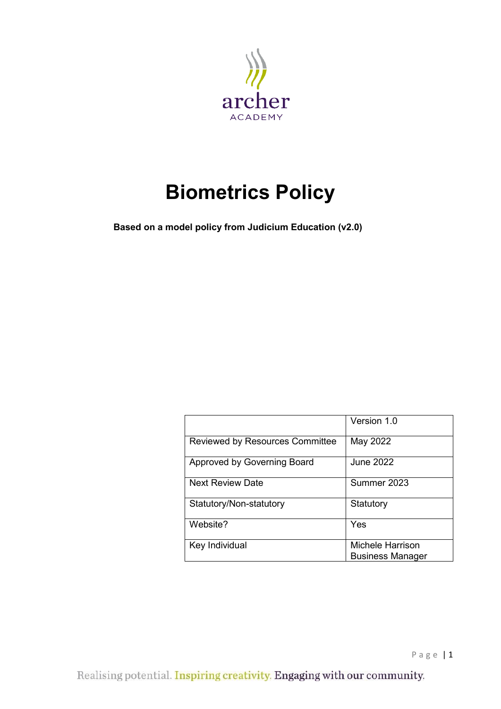

# **Biometrics Policy**

 **Based on a model policy from Judicium Education (v2.0)**

|                                        | Version 1.0                                 |
|----------------------------------------|---------------------------------------------|
| <b>Reviewed by Resources Committee</b> | May 2022                                    |
| Approved by Governing Board            | June 2022                                   |
| <b>Next Review Date</b>                | Summer 2023                                 |
| Statutory/Non-statutory                | Statutory                                   |
| Website?                               | Yes                                         |
| Key Individual                         | Michele Harrison<br><b>Business Manager</b> |

Page | 1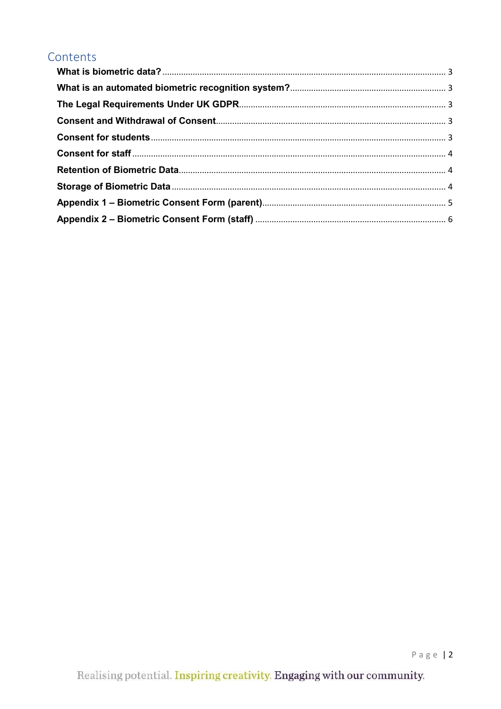# Contents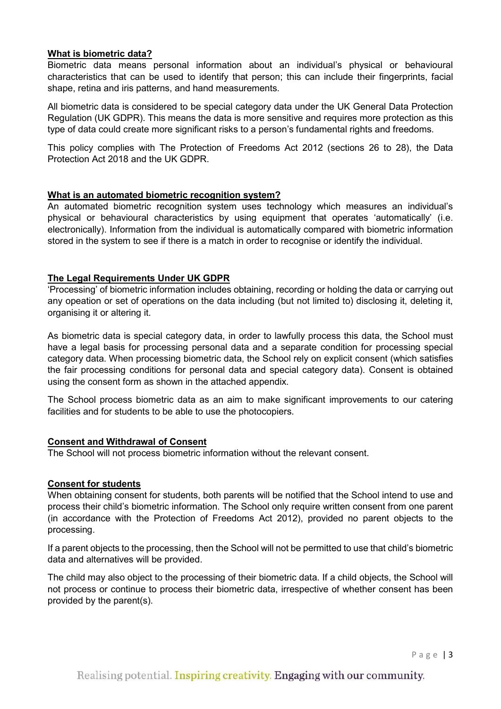# <span id="page-2-0"></span>**What is biometric data?**

Biometric data means personal information about an individual's physical or behavioural characteristics that can be used to identify that person; this can include their fingerprints, facial shape, retina and iris patterns, and hand measurements.

All biometric data is considered to be special category data under the UK General Data Protection Regulation (UK GDPR). This means the data is more sensitive and requires more protection as this type of data could create more significant risks to a person's fundamental rights and freedoms.

This policy complies with The Protection of Freedoms Act 2012 (sections 26 to 28), the Data Protection Act 2018 and the UK GDPR.

#### <span id="page-2-1"></span>**What is an automated biometric recognition system?**

An automated biometric recognition system uses technology which measures an individual's physical or behavioural characteristics by using equipment that operates 'automatically' (i.e. electronically). Information from the individual is automatically compared with biometric information stored in the system to see if there is a match in order to recognise or identify the individual.

#### <span id="page-2-2"></span>**The Legal Requirements Under UK GDPR**

'Processing' of biometric information includes obtaining, recording or holding the data or carrying out any opeation or set of operations on the data including (but not limited to) disclosing it, deleting it, organising it or altering it.

As biometric data is special category data, in order to lawfully process this data, the School must have a legal basis for processing personal data and a separate condition for processing special category data. When processing biometric data, the School rely on explicit consent (which satisfies the fair processing conditions for personal data and special category data). Consent is obtained using the consent form as shown in the attached appendix.

The School process biometric data as an aim to make significant improvements to our catering facilities and for students to be able to use the photocopiers.

#### <span id="page-2-3"></span>**Consent and Withdrawal of Consent**

The School will not process biometric information without the relevant consent.

#### <span id="page-2-4"></span>**Consent for students**

When obtaining consent for students, both parents will be notified that the School intend to use and process their child's biometric information. The School only require written consent from one parent (in accordance with the Protection of Freedoms Act 2012), provided no parent objects to the processing.

If a parent objects to the processing, then the School will not be permitted to use that child's biometric data and alternatives will be provided.

The child may also object to the processing of their biometric data. If a child objects, the School will not process or continue to process their biometric data, irrespective of whether consent has been provided by the parent(s).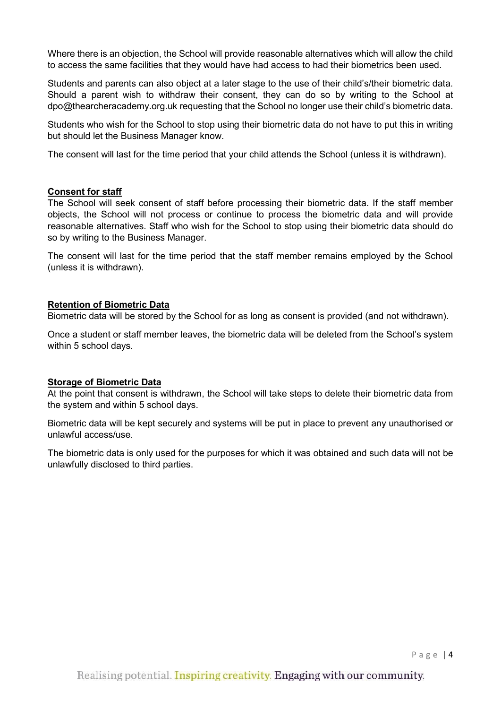Where there is an objection, the School will provide reasonable alternatives which will allow the child to access the same facilities that they would have had access to had their biometrics been used.

Students and parents can also object at a later stage to the use of their child's/their biometric data. Should a parent wish to withdraw their consent, they can do so by writing to the School at dpo@thearcheracademy.org.uk requesting that the School no longer use their child's biometric data.

Students who wish for the School to stop using their biometric data do not have to put this in writing but should let the Business Manager know.

The consent will last for the time period that your child attends the School (unless it is withdrawn).

#### <span id="page-3-0"></span>**Consent for staff**

The School will seek consent of staff before processing their biometric data. If the staff member objects, the School will not process or continue to process the biometric data and will provide reasonable alternatives. Staff who wish for the School to stop using their biometric data should do so by writing to the Business Manager.

The consent will last for the time period that the staff member remains employed by the School (unless it is withdrawn).

# <span id="page-3-1"></span>**Retention of Biometric Data**

Biometric data will be stored by the School for as long as consent is provided (and not withdrawn).

Once a student or staff member leaves, the biometric data will be deleted from the School's system within 5 school days.

# <span id="page-3-2"></span>**Storage of Biometric Data**

At the point that consent is withdrawn, the School will take steps to delete their biometric data from the system and within 5 school days.

Biometric data will be kept securely and systems will be put in place to prevent any unauthorised or unlawful access/use.

The biometric data is only used for the purposes for which it was obtained and such data will not be unlawfully disclosed to third parties.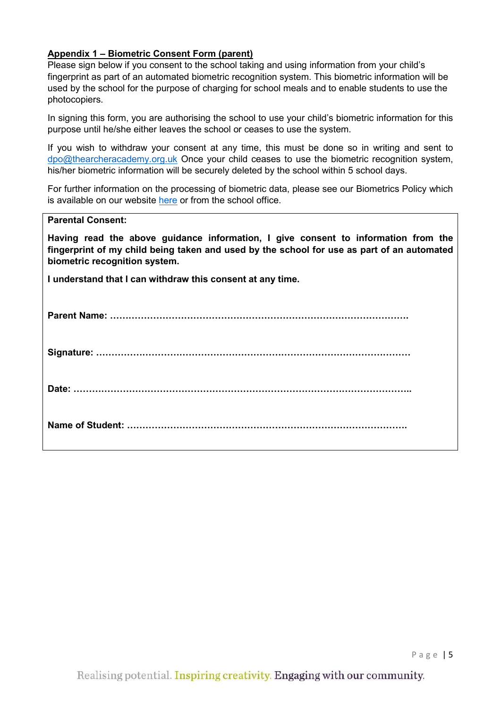# <span id="page-4-0"></span>**Appendix 1 – Biometric Consent Form (parent)**

Please sign below if you consent to the school taking and using information from your child's fingerprint as part of an automated biometric recognition system. This biometric information will be used by the school for the purpose of charging for school meals and to enable students to use the photocopiers.

In signing this form, you are authorising the school to use your child's biometric information for this purpose until he/she either leaves the school or ceases to use the system.

If you wish to withdraw your consent at any time, this must be done so in writing and sent to [dpo@thearcheracademy.org.uk](mailto:dpo@thearcheracademy.org.uk) Once your child ceases to use the biometric recognition system, his/her biometric information will be securely deleted by the school within 5 school days.

For further information on the processing of biometric data, please see our Biometrics Policy which is available on our website [here](https://thearcheracademy.org.uk/data-protection/) or from the school office.

| <b>Parental Consent:</b>                                                                                                                                                                                          |
|-------------------------------------------------------------------------------------------------------------------------------------------------------------------------------------------------------------------|
| Having read the above guidance information, I give consent to information from the<br>fingerprint of my child being taken and used by the school for use as part of an automated<br>biometric recognition system. |
| I understand that I can withdraw this consent at any time.                                                                                                                                                        |
|                                                                                                                                                                                                                   |
|                                                                                                                                                                                                                   |
|                                                                                                                                                                                                                   |
|                                                                                                                                                                                                                   |

Page | 5